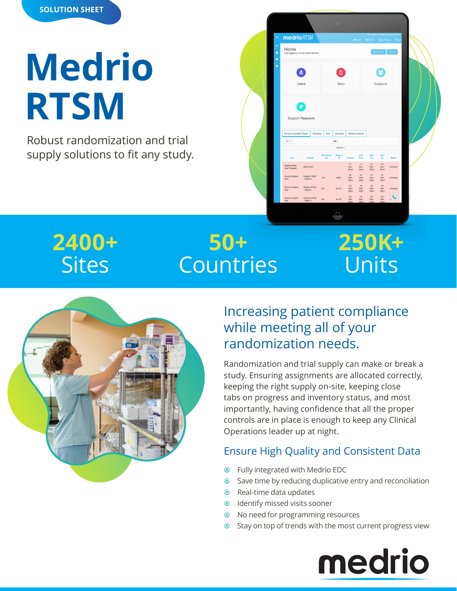

# **Medrio RTSM**

Robust randomization and trial supply solutions to fit any study.

|          |                                                              |                               |                  | ø              |                        |                        |                        |                        |                                                      |
|----------|--------------------------------------------------------------|-------------------------------|------------------|----------------|------------------------|------------------------|------------------------|------------------------|------------------------------------------------------|
| $\equiv$ | medrio RTSM                                                  |                               |                  |                |                        | WHome:                 | <b>Ltd</b> Reports     | <b>i</b> User Guides   | Brent Harlow (System Administrator)<br><b>F</b> Clan |
| ۶<br>晉   | Home<br>My Account<br>Last logged on: 24-Nov-2020 09:20:33   |                               |                  |                |                        |                        |                        | Log Out                |                                                      |
| a,<br>o  | ஃ                                                            |                               |                  | Ê              |                        |                        |                        |                        |                                                      |
|          | Users                                                        |                               |                  | <b>Sites</b>   |                        |                        | Subjects               |                        |                                                      |
|          |                                                              |                               |                  |                |                        |                        |                        |                        |                                                      |
|          | <b>Support Requests</b><br>All Uncompleted Tasks<br>$Q \vee$ |                               | Pending<br>Due   | Overdue<br>Go  |                        | Recent Activity        |                        |                        |                                                      |
|          |                                                              |                               |                  | Actions $\sim$ |                        |                        |                        |                        |                                                      |
|          | Task                                                         | <b>Details</b>                | Site/Depot<br>ID | Subject<br>ID  | Raised                 | Due<br>From            | Due<br>On              | Due<br>By              | <b>Status</b>                                        |
|          | Approve New<br><b>User Request</b>                           | <b>Bob Brown</b>              |                  |                | $11 -$<br>Dec-<br>2019 | $11 -$<br>Dec-<br>2019 | $12 -$<br>Dec-<br>2019 | $13 -$<br>Dec-<br>2019 |                                                      |
|          | Record Subject<br>Visit                                      | Subject 10001<br>$-$ Week $8$ | 100              | 10001          | $02 -$<br>Mar-<br>2020 | $10 -$<br>Feb-<br>2020 | $12-$<br>Feb-<br>2020  | $14 -$<br>Feb-<br>2020 | Overdue<br>Overdue                                   |
|          | Record Subject<br><b>Visit</b>                               | Subject 40104<br>$-Wek2$      | 401              | 40104          | $02 -$<br>Mar-<br>2020 | $14 -$<br>Mar-<br>2020 | $16 -$<br>Mar-<br>2020 | $18 -$<br>Mar-<br>2020 | Overdue                                              |

# **2400+ Sites**

# **50+ Countries**

# **250K+** Units



## Increasing patient compliance while meeting all of your randomization needs.

Randomization and trial supply can make or break a study. Ensuring assignments are allocated correctly, keeping the right supply on-site, keeping close tabs on progress and inventory status, and most importantly, having confidence that all the proper controls are in place is enough to keep any Clinical Operations leader up at night.

## Ensure High Quality and Consistent Data

- **•** Fully integrated with Medrio EDC
- <sup>o</sup> Save time by reducing duplicative entry and reconciliation
- $\odot$  Real-time data updates
- <sup>O</sup> Identify missed visits sooner
- <sup>O</sup> No need for programming resources
- <sup>O</sup> Stay on top of trends with the most current progress view